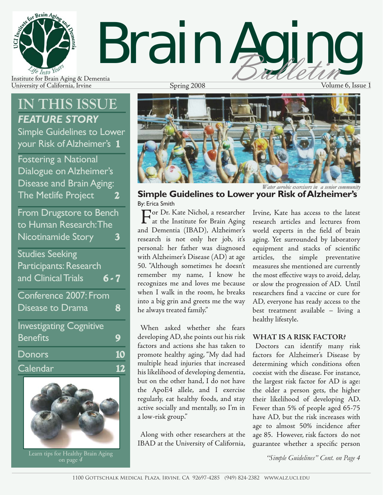

University of California, Irvine Spring 2008 Spring 2008 Volume 6, Issue 1

## **IN THIS ISSUE** *FEATURE STORY*

Simple Guidelines to Lower your Risk of Alzheimer's **1**

Fostering a National Dialogue on Alzheimer's Disease and Brain Aging: The Metlife Project **2**





Learn tips for Healthy Brain Aging on page *<sup>4</sup>*



**Simple Guidelines to Lower your Risk of Alzheimer's** By: Erica Smith

For Dr. Kate Nichol, a researcher<br>at the Institute for Brain Aging and Dementia (IBAD), Alzheimer's research is not only her job, it's personal: her father was diagnosed with Alzheimer's Disease (AD) at age 50. "Although sometimes he doesn't remember my name, I know he recognizes me and loves me because when I walk in the room, he breaks into a big grin and greets me the way he always treated family."

When asked whether she fears developing AD, she points out his risk factors and actions she has taken to promote healthy aging, "My dad had multiple head injuries that increased his likelihood of developing dementia, but on the other hand, I do not have the ApoE4 allele, and I exercise regularly, eat healthy foods, and stay active socially and mentally, so I'm in a low-risk group."

Along with other researchers at the IBAD at the University of California, Irvine, Kate has access to the latest research articles and lectures from world experts in the field of brain aging. Yet surrounded by laboratory equipment and stacks of scientific articles, the simple preventative measures she mentioned are currently the most effective ways to avoid, delay, or slow the progression of AD. Until researchers find a vaccine or cure for AD, everyone has ready access to the best treatment available – living a healthy lifestyle.

### **WHAT IS A RISK FACTOR?**

Doctors can identify many risk factors for Alzheimer's Disease by determining which conditions often coexist with the disease. For instance, the largest risk factor for AD is age: the older a person gets, the higher their likelihood of developing AD. Fewer than 5% of people aged 65-75 have AD, but the risk increases with age to almost 50% incidence after age 85. However, risk factors do not guarantee whether a specific person

*"Simple Guidelines" Cont. on Page 4*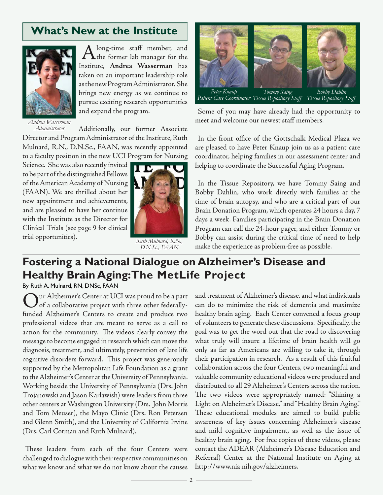### **What's New at the Institute**



A long-time staff member, and<br>the former lab manager for the Institute, **Andrea Wasserman** has taken on an important leadership role as the new Program Administrator. She brings new energy as we continue to pursue exciting research opportunities and expand the program.

*Andrea Wasserman Administrator dministrator*

Additionally, our former Associate Director and Program Administrator of the Institute, Ruth Mulnard, R.N., D.N.Sc., FAAN, was recently appointed to a faculty position in the new UCI Program for Nursing

Science. She was also recently invited to be part of the distinguished Fellows of the American Academy of Nursing (FAAN). We are thrilled about her new appointment and achievements, and are pleased to have her continue with the Institute as the Director for Clinical Trials (see page 9 for clinical trial opportunities).



*Ruth Mulnard, R.N., D.N.Sc., FAAN .N.Sc.,* 



Some of you may have already had the opportunity to meet and welcome our newest staff members.

In the front office of the Gottschalk Medical Plaza we are pleased to have Peter Knaup join us as a patient care coordinator, helping families in our assessment center and helping to coordinate the Successful Aging Program.

In the Tissue Repository, we have Tommy Saing and Bobby Dahlin, who work directly with families at the time of brain autopsy, and who are a critical part of our Brain Donation Program, which operates 24 hours a day, 7 days a week. Families participating in the Brain Donation Program can call the 24-hour pager, and either Tommy or Bobby can assist during the critical time of need to help make the experience as problem-free as possible.

### **Fostering a National Dialogue on Alzheimer's Disease and Healthy Brain Aging: The MetLife Project**

By Ruth A. Mulnard, RN, DNSc, FAAN

Our Alzheimer's Center at UCI was proud to be a part<br>of a collaborative project with three other federally-<br>family distribution to contain a surface with three trace funded Alzheimer's Centers to create and produce two professional videos that are meant to serve as a call to action for the community. The videos clearly convey the message to become engaged in research which can move the diagnosis, treatment, and ultimately, prevention of late life cognitive disorders forward. This project was generously supported by the Metropolitan Life Foundation as a grant to the Alzheimer's Center at the University of Pennsylvania. Working beside the University of Pennsylvania (Drs. John Trojanowski and Jason Karlawish) were leaders from three other centers at Washington University (Drs. John Morris and Tom Meuser), the Mayo Clinic (Drs. Ron Petersen and Glenn Smith), and the University of California Irvine (Drs. Carl Cotman and Ruth Mulnard).

These leaders from each of the four Centers were challenged to dialogue with their respective communities on what we know and what we do not know about the causes

and treatment of Alzheimer's disease, and what individuals can do to minimize the risk of dementia and maximize healthy brain aging. Each Center convened a focus group of volunteers to generate these discussions. Specifically, the goal was to get the word out that the road to discovering what truly will insure a lifetime of brain health will go only as far as Americans are willing to take it, through their participation in research. As a result of this fruitful collaboration across the four Centers, two meaningful and valuable community educational videos were produced and distributed to all 29 Alzheimer's Centers across the nation. The two videos were appropriately named: "Shining a Light on Alzheimer's Disease," and "Healthy Brain Aging." These educational modules are aimed to build public awareness of key issues concerning Alzheimer's disease and mild cognitive impairment, as well as the issue of healthy brain aging. For free copies of these videos, please contact the ADEAR (Alzheimer's Disease Education and Referral) Center at the National Institute on Aging at http://www.nia.nih.gov/alzheimers.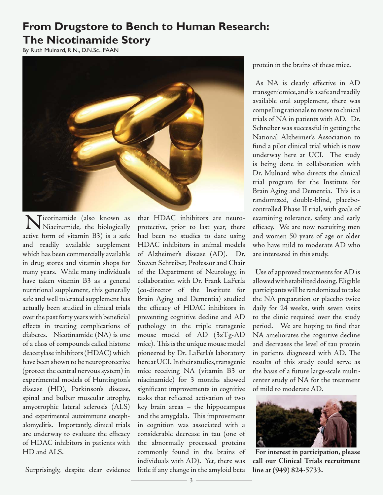### **From Drugstore to Bench to Human Research: The Nicotinamide Story**

By Ruth Mulnard, R.N., D.N.Sc., FAAN



**Nicotinamide** (also known as<br>Niacinamide, the biologically active form of vitamin B3) is a safe and readily available supplement which has been commercially available in drug stores and vitamin shops for many years. While many individuals have taken vitamin B3 as a general nutritional supplement, this generally safe and well tolerated supplement has actually been studied in clinical trials over the past forty years with beneficial effects in treating complications of diabetes. Nicotinamide (NA) is one of a class of compounds called histone deacetylase inhibitors (HDAC) which have been shown to be neuroprotective (protect the central nervous system) in experimental models of Huntington's disease (HD), Parkinson's disease, spinal and bulbar muscular atrophy, amyotrophic lateral sclerosis (ALS) and experimental autoimmune encephalomyelitis. Importantly, clinical trials are underway to evaluate the efficacy of HDAC inhibitors in patients with HD and ALS.

Surprisingly, despite clear evidence

that HDAC inhibitors are neuroprotective, prior to last year, there had been no studies to date using HDAC inhibitors in animal models of Alzheimer's disease (AD). Dr. Steven Schreiber, Professor and Chair of the Department of Neurology, in collaboration with Dr. Frank LaFerla (co-director of the Institute for Brain Aging and Dementia) studied the efficacy of HDAC inhibitors in preventing cognitive decline and AD pathology in the triple transgenic mouse model of AD (3xTg-AD mice). This is the unique mouse model pioneered by Dr. LaFerla's laboratory here at UCI. In their studies, transgenic mice receiving NA (vitamin B3 or niacinamide) for 3 months showed significant improvements in cognitive tasks that reflected activation of two key brain areas – the hippocampus and the amygdala. This improvement in cognition was associated with a considerable decrease in tau (one of the abnormally processed proteins commonly found in the brains of individuals with AD). Yet, there was little if any change in the amyloid beta

protein in the brains of these mice.

As NA is clearly effective in AD transgenic mice, and is a safe and readily available oral supplement, there was compelling rationale to move to clinical trials of NA in patients with AD. Dr. Schreiber was successful in getting the National Alzheimer's Association to fund a pilot clinical trial which is now underway here at UCI. The study is being done in collaboration with Dr. Mulnard who directs the clinical trial program for the Institute for Brain Aging and Dementia. This is a randomized, double-blind, placebocontrolled Phase II trial, with goals of examining tolerance, safety and early efficacy. We are now recruiting men and women 50 years of age or older who have mild to moderate AD who are interested in this study.

Use of approved treatments for AD is allowed with stabilized dosing. Eligible participants will be randomized to take the NA preparation or placebo twice daily for 24 weeks, with seven visits to the clinic required over the study period. We are hoping to find that NA ameliorates the cognitive decline and decreases the level of tau protein in patients diagnosed with AD. The results of this study could serve as the basis of a future large-scale multicenter study of NA for the treatment of mild to moderate AD.



**For interest in participation, please call our Clinical Trials recruitment line at (949) 824-5733.**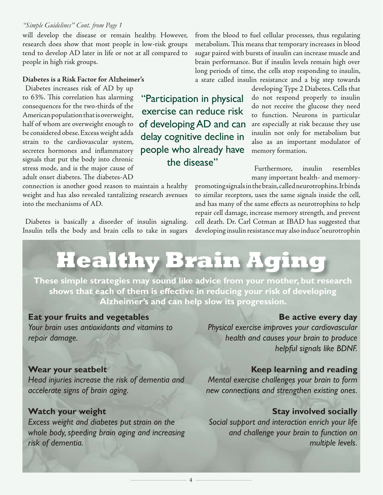#### *"Simple Guidelines" Cont. from Page 1*

will develop the disease or remain healthy. However, research does show that most people in low-risk groups tend to develop AD later in life or not at all compared to people in high risk groups.

#### **Diabetes is a Risk Factor for Alzheimer's**

Diabetes increases risk of AD by up to 63%. This correlation has alarming consequences for the two-thirds of the American population that is overweight, half of whom are overweight enough to be considered obese. Excess weight adds strain to the cardiovascular system, secretes hormones and inflammatory signals that put the body into chronic stress mode, and is the major cause of adult onset diabetes. The diabetes-AD

connection is another good reason to maintain a healthy weight and has also revealed tantalizing research avenues into the mechanisms of AD.

Diabetes is basically a disorder of insulin signaling. Insulin tells the body and brain cells to take in sugars from the blood to fuel cellular processes, thus regulating metabolism. This means that temporary increases in blood sugar paired with bursts of insulin can increase muscle and brain performance. But if insulin levels remain high over long periods of time, the cells stop responding to insulin, a state called insulin resistance and a big step towards

"Participation in physical exercise can reduce risk of developing AD and can delay cognitive decline in people who already have the disease"

developing Type 2 Diabetes. Cells that do not respond properly to insulin do not receive the glucose they need to function. Neurons in particular are especially at risk because they use insulin not only for metabolism but also as an important modulator of memory formation.

Furthermore, insulin resembles many important health- and memory-

promoting signals in the brain, called neurotrophins. It binds to similar receptors, uses the same signals inside the cell, and has many of the same effects as neurotrophins to help repair cell damage, increase memory strength, and prevent cell death. Dr. Carl Cotman at IBAD has suggested that developing insulin resistance may also induce "neurotrophin

## **Healthy Brain Aging**

**These simple strategies may sound like advice from your mother, but research shows that each of them is effective in reducing your risk of developing Alzheimer's and can help slow its progression.**

4

### **Eat your fruits and vegetables**

*Your brain uses antioxidants and vitamins to repair damage.*

### **Be active every day**

*Physical exercise improves your cardiovascular health and causes your brain to produce helpful signals like BDNF.*

### **Wear your seatbelt**

*Head injuries increase the risk of dementia and accelerate signs of brain aging.*

### **Watch your weight**

*Excess weight and diabetes put strain on the whole body, speeding brain aging and increasing risk of dementia.*

### **Keep learning and reading**

*Mental exercise challenges your brain to form new connections and strengthen existing ones.*

### **Stay involved socially**

*Social support and interaction enrich your life and challenge your brain to function on multiple levels.*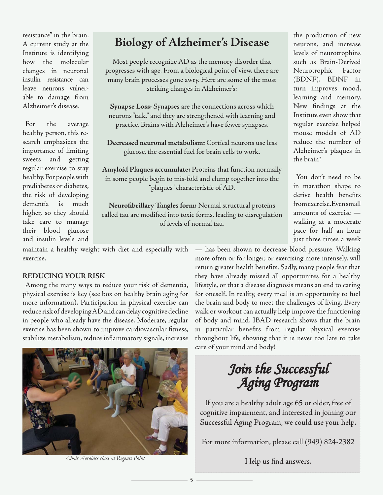resistance" in the brain. A current study at the Institute is identifying how the molecular changes in neuronal insulin resistance can leave neurons vulnerable to damage from Alzheimer's disease.

For the average healthy person, this research emphasizes the importance of limiting sweets and getting regular exercise to stay healthy. For people with prediabetes or diabetes, the risk of developing dementia is much higher, so they should take care to manage their blood glucose and insulin levels and

### **Biology of Alzheimer's Disease**

Most people recognize AD as the memory disorder that progresses with age. From a biological point of view, there are many brain processes gone awry. Here are some of the most striking changes in Alzheimer's:

**Synapse Loss:** Synapses are the connections across which neurons "talk," and they are strengthened with learning and practice. Brains with Alzheimer's have fewer synapses.

**Decreased neuronal metabolism:** Cortical neurons use less glucose, the essential fuel for brain cells to work.

**Amyloid Plaques accumulate:** Proteins that function normally in some people begin to mis-fold and clump together into the "plaques" characteristic of AD.

Neurofibrillary Tangles form: Normal structural proteins called tau are modified into toxic forms, leading to disregulation of levels of normal tau.

maintain a healthy weight with diet and especially with exercise.

### **REDUCING YOUR RISK**

Among the many ways to reduce your risk of dementia, physical exercise is key (see box on healthy brain aging for more information). Participation in physical exercise can reduce risk of developing AD and can delay cognitive decline in people who already have the disease. Moderate, regular exercise has been shown to improve cardiovascular fitness, stabilize metabolism, reduce inflammatory signals, increase



*Chair Aerobics class at Regents Point*

the production of new neurons, and increase levels of neurotrophins such as Brain-Derived Neurotrophic Factor (BDNF). BDNF in turn improves mood, learning and memory. New findings at the Institute even show that regular exercise helped mouse models of AD reduce the number of Alzheimer's plaques in the brain!

You don't need to be in marathon shape to derive health benefits from exercise. Even small amounts of exercise walking at a moderate pace for half an hour just three times a week

— has been shown to decrease blood pressure. Walking more often or for longer, or exercising more intensely, will return greater health benefits. Sadly, many people fear that they have already missed all opportunites for a healthy lifestyle, or that a disease diagnosis means an end to caring for oneself. In reality, every meal is an opportunity to fuel the brain and body to meet the challenges of living. Every walk or workout can actually help improve the functioning of body and mind. IBAD research shows that the brain in particular benefits from regular physical exercise throughout life, showing that it is never too late to take care of your mind and body!

## *Join the Successful oin Aging Program ging*

If you are a healthy adult age 65 or older, free of cognitive impairment, and interested in joining our Successful Aging Program, we could use your help.

For more information, please call (949) 824-2382

Help us find answers.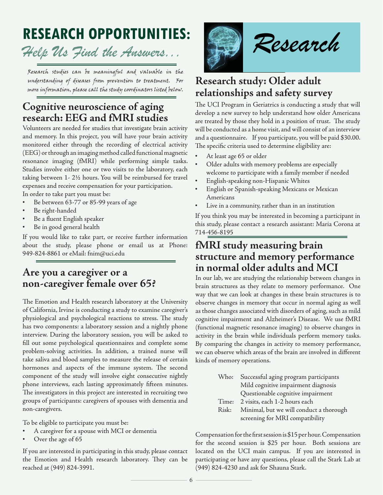## **RESEARCH OPPORTUNITIES:**

## *Help Us Find the Answers...*

Research studies can be meaningful and valuable in the understanding of diseases from prevention to treatment. For more information, please call the study coordinators listed below.

### **Cognitive neuroscience of aging research: EEG and fMRI studies**

Volunteers are needed for studies that investigate brain activity and memory. In this project, you will have your brain activity monitored either through the recording of electrical activity (EEG) or through an imaging method called functional magnetic resonance imaging (fMRI) while performing simple tasks. Studies involve either one or two visits to the laboratory, each taking between 1- 2½ hours. You will be reimbursed for travel expenses and receive compensation for your participation. In order to take part you must be:

- Be between 63-77 or 85-99 years of age
- Be right-handed
- Be a fluent English speaker
- Be in good general health

If you would like to take part, or receive further information about the study, please phone or email us at Phone: 949-824-8861 or eMail: fnim@uci.edu

### **Are you a caregiver or a non-caregiver female over 65?**

The Emotion and Health research laboratory at the University of California, Irvine is conducting a study to examine caregiver's physiological and psychological reactions to stress. The study has two components: a laboratory session and a nightly phone interview. During the laboratory session, you will be asked to fill out some psychological questionnaires and complete some problem-solving activities. In addition, a trained nurse will take saliva and blood samples to measure the release of certain hormones and aspects of the immune system. The second component of the study will involve eight consecutive nightly phone interviews, each lasting approximately fifteen minutes. The investigators in this project are interested in recruiting two groups of participants: caregivers of spouses with dementia and non-caregivers.

To be eligible to participate you must be:

- A caregiver for a spouse with MCI or dementia
- Over the age of 65

If you are interested in participating in this study, please contact the Emotion and Health research laboratory. They can be reached at (949) 824-3991.



### **Research study: Older adult relationships and safety survey**

The UCI Program in Geriatrics is conducting a study that will develop a new survey to help understand how older Americans are treated by those they hold in a position of trust. The study will be conducted as a home visit, and will consist of an interview and a questionnaire. If you participate, you will be paid \$30.00. The specific criteria used to determine eligibility are:

- At least age 65 or older
- Older adults with memory problems are especially welcome to participate with a family member if needed
- English-speaking non-Hispanic Whites
- English or Spanish-speaking Mexicans or Mexican Americans
- Live in a community, rather than in an institution

If you think you may be interested in becoming a participant in this study, please contact a research assistant: Maria Corona at 714-456-8195

### **fMRI study measuring brain structure and memory performance in normal older adults and MCI**

In our lab, we are studying the relationship between changes in brain structures as they relate to memory performance. One way that we can look at changes in these brain structures is to observe changes in memory that occur in normal aging as well as those changes associated with disorders of aging, such as mild cognitive impairment and Alzheimer's Disease. We use fMRI (functional magnetic resonance imaging) to observe changes in activity in the brain while individuals perform memory tasks. By comparing the changes in activity to memory performance, we can observe which areas of the brain are involved in different kinds of memory operations.

| Who:  | Successful aging program participants   |
|-------|-----------------------------------------|
|       | Mild cognitive impairment diagnosis     |
|       | Questionable cognitive impairment       |
| Time: | 2 visits, each 1-2 hours each           |
| Risk: | Minimal, but we will conduct a thorough |
|       | screening for MRI compatibility         |

Compensation for the first session is \$15 per hour. Compensation for the second session is \$25 per hour. Both sessions are located on the UCI main campus. If you are interested in participating or have any questions, please call the Stark Lab at (949) 824-4230 and ask for Shauna Stark.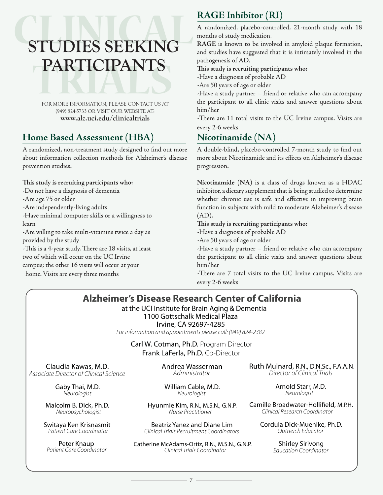## CALIFO CERTAIN PARTICIPANTS **STUDIES SEEKING PARTICIPANTS**

FOR MORE INFORMATION, PLEASE CONTACT US AT (949) 824-5733 OR VISIT OUR WEBSITE AT: **www.alz.uci.edu/clinicaltrials**

### **Home Based Assessment (HBA)**

A randomized, non-treatment study designed to find out more about information collection methods for Alzheimer's disease prevention studies.

This study is recruiting participants who: -Do not have a diagnosis of dementia

-Are age 75 or older

-Are independently-living adults

-Have minimal computer skills or a willingness to learn

-Are willing to take multi-vitamins twice a day as provided by the study

-This is a 4-year study. There are 18 visits, at least two of which will occur on the UC Irvine campus; the other 16 visits will occur at your home. Visits are every three months

### **RAGE Inhibitor (RI)**

A randomized, placebo-controlled, 21-month study with 18 months of study medication.

**RAGE** is known to be involved in amyloid plaque formation, and studies have suggested that it is intimately involved in the pathogenesis of AD.

This study is recruiting participants who:

-Have a diagnosis of probable AD

-Are 50 years of age or older

-Have a study partner – friend or relative who can accompany the participant to all clinic visits and answer questions about him/her

-There are 11 total visits to the UC Irvine campus. Visits are every 2-6 weeks

### **Nicotinamide (NA)**

A double-blind, placebo-controlled 7-month study to find out more about Nicotinamide and its effects on Alzheimer's disease progression.

**Nicotinamide (NA)** is a class of drugs known as a HDAC inhibitor, a dietary supplement that is being studied to determine whether chronic use is safe and effective in improving brain function in subjects with mild to moderate Alzheimer's disease  $(AD).$ 

This study is recruiting participants who:

-Have a diagnosis of probable AD

-Are 50 years of age or older

-Have a study partner – friend or relative who can accompany the participant to all clinic visits and answer questions about him/her

-There are 7 total visits to the UC Irvine campus. Visits are every 2-6 weeks

### **Alzheimer's Disease Research Center of California**

at the UCI Institute for Brain Aging & Dementia 1100 Gottschalk Medical Plaza

Irvine, CA 92697-4285

For information and appointments please call: (949) 824-2382

Carl W. Cotman, Ph.D. Program Director Frank LaFerla, Ph.D. Co-Director

Associate Director of Clinical Science

Gaby Thai, M.D. **Neurologist** 

Malcolm B. Dick, Ph.D. Neuropsychologist

Switaya Ken Krisnasmit

Peter Knaup Patient Care Coordinator

Claudia Kawas, M.D. **Andrea Wasserman Ruth Mulnard, R.N., D.N.Sc., F.A.A.N.**<br>ate Director of Clinical Science Administrator Administrator Director of Clinical Trials

William Cable, M.D. Neurologist

Hyunmie Kim, R.N., M.S.N., G.N.P. Nurse Practitioner

Beatriz Yanez and Diane Lim Patient Care Coordinator Clinical Trials Recruitment Coordinators

> Catherine McAdams-Ortiz, R.N., M.S.N., G.N.P. Clinical Trials Coordinator

Arnold Starr, M.D. Neurologist

Camille Broadwater-Hollifield, M.P.H. Clinical Research Coordinator

Cordula Dick-Muehlke, Ph.D. Outreach Educator

> Shirley Sirivong Education Coordinator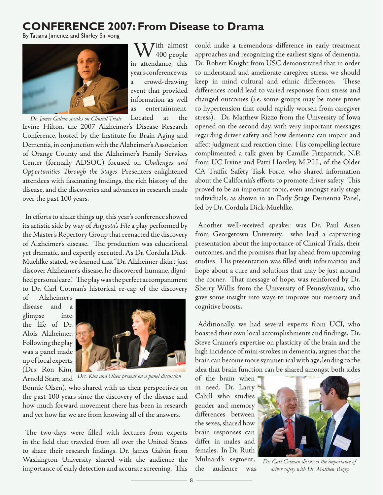### **CONFERENCE 2007: From Disease to Drama**

By Tatiana Jimenez and Shirley Sirivong



W<sup>ith almost</sup> in attendance, this year's conference was a crowd-drawing event that provided information as well as entertainment. Located at the

Irvine Hilton, the 2007 Alzheimer's Disease Research Conference, hosted by the Institute for Brain Aging and Dementia, in conjunction with the Alzheimer's Association of Orange County and the Alzheimer's Family Services Center (formally ADSOC) focused on *Challenges and Opportunities Th rough the Stages*. Presenters enlightened attendees with fascinating findings, the rich history of the disease, and the discoveries and advances in research made over the past 100 years. *Dr. James Galvin speaks on Clinical Trials*

In efforts to shake things up, this year's conference showed its artistic side by way of *Augusta's File* a play performed by the Master's Repertory Group that reenacted the discovery of Alzheimer's disease. The production was educational yet dramatic, and expertly executed. As Dr. Cordula Dick-Muehlke stated, we learned that "Dr. Alzheimer didn't just discover Alzheimer's disease, he discovered humane, dignified personal care." The play was the perfect accompaniment to Dr. Carl Cotman's historical re-cap of the discovery

of Alzheimer's disease and a glimpse into the life of Dr. Alois Alzheimer. Following the play was a panel made up of local experts (Drs. Ron Kim,



Arnold Starr, and *Drs. Kim and Olsen present on a panel discussion*

Bonnie Olsen), who shared with us their perspectives on the past 100 years since the discovery of the disease and how much forward movement there has been in research and yet how far we are from knowing all of the answers.

The two-days were filled with lectures from experts in the field that traveled from all over the United States to share their research findings. Dr. James Galvin from Washington University shared with the audience the importance of early detection and accurate screening. This

could make a tremendous difference in early treatment approaches and recognizing the earliest signs of dementia. Dr. Robert Knight from USC demonstrated that in order to understand and ameliorate caregiver stress, we should keep in mind cultural and ethnic differences. These differences could lead to varied responses from stress and changed outcomes (i.e. some groups may be more prone to hypertension that could rapidly worsen from caregiver stress). Dr. Matthew Rizzo from the University of Iowa opened on the second day, with very important messages regarding driver safety and how dementia can impair and affect judgment and reaction time. His compelling lecture complimented a talk given by Camille Fitzpatrick, N.P. from UC Irvine and Patti Horsley, M.P.H., of the Older CA Traffic Safety Task Force, who shared information about the California's efforts to promote driver safety. This proved to be an important topic, even amongst early stage individuals, as shown in an Early Stage Dementia Panel, led by Dr. Cordula Dick-Muehlke.

Another well-received speaker was Dr. Paul Aisen from Georgetown University, who lead a captivating presentation about the importance of Clinical Trials, their outcomes, and the promises that lay ahead from upcoming studies. His presentation was filled with information and hope about a cure and solutions that may be just around the corner. That message of hope, was reinforced by Dr. Sherry Willis from the University of Pennsylvania, who gave some insight into ways to improve our memory and cognitive boosts.

Additionally, we had several experts from UCI, who boasted their own local accomplishments and findings. Dr. Steve Cramer's expertise on plasticity of the brain and the high incidence of mini-strokes in dementia, argues that the brain can become more symmetrical with age, lending to the idea that brain function can be shared amongst both sides

of the brain when in need. Dr. Larry Cahill who studies gender and memory differences between the sexes, shared how brain responses can differ in males and females. In Dr. Ruth Mulnard's segment, the audience was



*Dr. Carl Cotman discusses the importance of driver safety with Dr. Matthew Rizzo*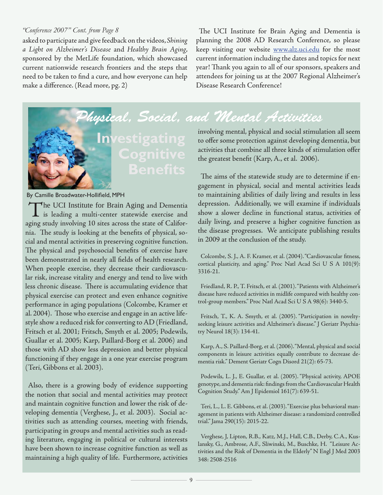#### *"Conference 2007" Cont. from Page 8*

asked to participate and give feedback on the videos, *Shining a Light on Alzheimer's Disease* and *Healthy Brain Aging*, sponsored by the MetLife foundation, which showcased current nationwide research frontiers and the steps that need to be taken to find a cure, and how everyone can help make a difference. (Read more, pg. 2)

The UCI Institute for Brain Aging and Dementia is planning the 2008 AD Research Conference, so please keep visiting our website **www.alz.uci.edu** for the most current information including the dates and topics for next year! Thank you again to all of our sponsors, speakers and attendees for joining us at the 2007 Regional Alzheimer's Disease Research Conference!

*Physical, Social, and Mental Activities hysical, Social, and Mental*



## **Cognitive Benefi ts**

By Camille Broadwater-Hollifield, MPH

The UCI Institute for Brain Aging and Dementia<br>is leading a multi-center statewide exercise and<br>in the limiting 10 dites exercise the state of Gelifen aging study involving 10 sites across the state of California. The study is looking at the benefits of physical, social and mental activities in preserving cognitive function. The physical and psychosocial benefits of exercise have been demonstrated in nearly all fields of health research. When people exercise, they decrease their cardiovascular risk, increase vitality and energy and tend to live with less chronic disease. There is accumulating evidence that physical exercise can protect and even enhance cognitive performance in aging populations (Colcombe, Kramer et al. 2004). Those who exercise and engage in an active lifestyle show a reduced risk for converting to AD (Friedland, Fritsch et al. 2001; Fritsch, Smyth et al. 2005; Podewils, Guallar et al. 2005; Karp, Paillard-Borg et al. 2006) and those with AD show less depression and better physical functioning if they engage in a one year exercise program (Teri, Gibbons et al. 2003).

Also, there is a growing body of evidence supporting the notion that social and mental activities may protect and maintain cognitive function and lower the risk of developing dementia (Verghese, J., et al. 2003). Social activities such as attending courses, meeting with friends, participating in groups and mental activities such as reading literature, engaging in political or cultural interests have been shown to increase cognitive function as well as maintaining a high quality of life. Furthermore, activities

involving mental, physical and social stimulation all seem to offer some protection against developing dementia, but activities that combine all three kinds of stimulation offer the greatest benefit (Karp, A., et al. 2006).

The aims of the statewide study are to determine if engagement in physical, social and mental activities leads to maintaining abilities of daily living and results in less depression. Additionally, we will examine if individuals show a slower decline in functional status, activities of daily living, and preserve a higher cognitive function as the disease progresses. We anticipate publishing results in 2009 at the conclusion of the study.

Colcombe, S. J., A. F. Kramer, et al. (2004). "Cardiovascular fitness, cortical plasticity, and aging." Proc Natl Acad Sci U S A 101(9): 3316-21.

Friedland, R. P., T. Fritsch, et al. (2001). "Patients with Alzheimer's disease have reduced activities in midlife compared with healthy control-group members." Proc Natl Acad Sci U S A 98(6): 3440-5.

Fritsch, T., K. A. Smyth, et al. (2005). "Participation in noveltyseeking leisure activities and Alzheimer's disease." J Geriatr Psychiatry Neurol 18(3): 134-41.

Karp, A., S. Paillard-Borg, et al. (2006). "Mental, physical and social components in leisure activities equally contribute to decrease dementia risk." Dement Geriatr Cogn Disord 21(2): 65-73.

Podewils, L. J., E. Guallar, et al. (2005). "Physical activity, APOE genotype, and dementia risk: findings from the Cardiovascular Health Cognition Study." Am J Epidemiol 161(7): 639-51.

Teri, L., L. E. Gibbons, et al. (2003). "Exercise plus behavioral management in patients with Alzheimer disease: a randomized controlled trial." Jama 290(15): 2015-22.

Verghese, J, Lipton, R.B., Katz, M.J., Hall, C.B., Derby, C.A., Kuslansky, G., Ambrose, A.F., Sliwinski, M., Buschke, H. "Leisure Activities and the Risk of Dementia in the Elderly" N Engl J Med 2003 348: 2508-2516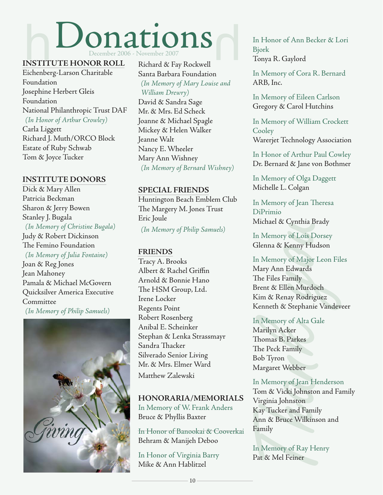# Donations December 2006 - November 2007

### **INSTITUTE HONOR ROLL**

Eichenberg-Larson Charitable Foundation Josephine Herbert Gleis Foundation National Philanthropic Trust DAF *(In Honor of Arthur Crowley)*

Carla Liggett Richard J. Muth/ORCO Block Estate of Ruby Schwab Tom & Joyce Tucker

### **INSTITUTE DONORS**

Dick & Mary Allen Patricia Beckman Sharon & Jerry Bowen Stanley J. Bugala *(In Memory of Christine Bugala)* Judy & Robert Dickinson The Femino Foundation

*(In Memory of Julia Fontaine)* Joan & Reg Jones Jean Mahoney Pamala & Michael McGovern Quicksilver America Executive Committee *(In Memory of Philip Samuels)*



Richard & Fay Rockwell Santa Barbara Foundation *(In Memory of Mary Louise and William Drewry)* David & Sandra Sage Mr. & Mrs. Ed Scheck Joanne & Michael Spagle Mickey & Helen Walker Jeanne Walt Nancy E. Wheeler Mary Ann Wishney *(In Memory of Bernard Wishney)*

### **SPECIAL FRIENDS**

Huntington Beach Emblem Club The Margery M. Jones Trust Eric Joule

*(In Memory of Philip Samuels)*

### **FRIENDS**

Tracy A. Brooks Albert & Rachel Griffin Arnold & Bonnie Hano The HSM Group, Ltd. Irene Locker Regents Point Robert Rosenberg Anibal E. Scheinker Stephan & Lenka Strassmayr Sandra Thacker Silverado Senior Living Mr. & Mrs. Elmer Ward Matthew Zalewski

### **HONORARIA/MEMORIALS**

In Memory of W. Frank Anders Bruce & Phyllis Baxter

In Honor of Banookai & Cooverkai Behram & Manijeh Deboo

In Honor of Virginia Barry Mike & Ann Hablitzel

In Honor of Ann Becker & Lori Bjork Tonya R. Gaylord

In Memory of Cora R. Bernard ARB, Inc.

In Memory of Eileen Carlson Gregory & Carol Hutchins

In Memory of William Crockett **Cooley** Warerjet Technology Association

In Honor of Arthur Paul Cowley Dr. Bernard & Jane von Bothmer

In Memory of Olga Daggett Michelle L. Colgan

In Memory of Jean Theresa DiPrimio Michael & Cynthia Brady

In Memory of Lois Dorsey Glenna & Kenny Hudson

In Memory of Lois Dorsey<br>In Memory of Lois Dorsey<br>Glenna & Kenny Hudson<br>In Memory of Major Leon Fil<br>Mary Ann Edwards<br>The Files Family<br>Brent & Ellen Murdoch<br>Kim & Renay Rodriguez<br>Kenneth & Stephanie Vandev<br>In Memory of Alta In Memory of Major Leon Files Mary Ann Edwards The Files Family Brent & Ellen Murdoch Kim & Renay Rodriguez Kenneth & Stephanie Vandeveer

In Memory of Alta Gale Marilyn Acker Thomas B. Parkes The Peck Family Bob Tyron Margaret Webber

### In Memory of Jean Henderson

Tom & Vicki Johnston and Family Virginia Johnston Kay Tucker and Family Ann & Bruce Wilkinson and Family

In Memory of Ray Henry Pat & Mel Feiner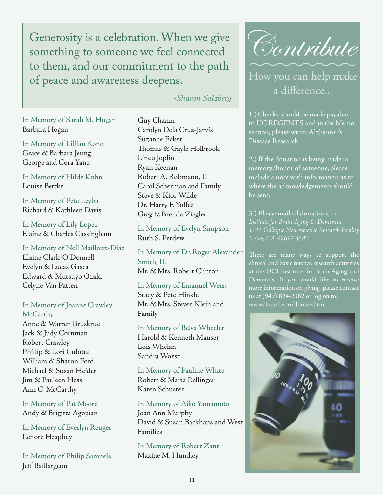Generosity is a celebration. When we give something to someone we feel connected to them, and our commitment to the path of peace and awareness deepens.

 **-***Sharon Salzberg*

In Memory of Sarah M. Hogan Barbara Hogan

In Memory of Lillian Kono Grace & Barbara Jeung George and Cora Yano

In Memory of Hilde Kuhn Louise Bettke

In Memory of Pete Leyba Richard & Kathleen Davis

In Memory of Lily Lopez Elaine & Charles Cassingham

In Memory of Nell Mailloux-Diaz Elaine Clark-O'Donnell Evelyn & Lucas Gasca Edward & Mutsuyo Ozaki Celyne Van Patten

### In Memory of Joanne Crawley **McCarthy**

Anne & Warren Bruskrud Jack & Judy Cornman Robert Crawley Phillip & Lori Culotta William & Sharon Ford Michael & Susan Heider Jim & Pauleen Hess Ann C. McCarthy

In Memory of Pat Moore Andy & Brigitta Agopian

In Memory of Everlyn Reuger Lenore Heaphey

In Memory of Philip Samuels Jeff Baillargeon

Guy Chanin Carolyn Dela Cruz-Jarvis Suzanne Ecker Thomas & Gayle Holbrook Linda Joplin Ryan Keenan Robert A. Rohmann, II Carol Scherman and Family Steve & Kior Wilde Dr. Harry F. Yoffee Greg & Brenda Ziegler

In Memory of Evelyn Simpson Ruth S. Perdew

In Memory of Dr. Roger Alexander Smith, III Mr. & Mrs. Robert Clinton

In Memory of Emanuel Weiss Stacy & Pete Hinkle Mr. & Mrs. Steven Klein and Family

In Memory of Belva Wheeler Harold & Kenneth Mauser Lois Whelan Sandra Woest

In Memory of Pauline White Robert & Maria Rellinger Karen Schuster

In Memory of Aiko Yamamoto Joan Ann Murphy David & Susan Backhaus and West Families

In Memory of Robert Zant Maxine M. Hundley



How you can help make a difference...

1.)Checks should be made payable to UC REGENTS and in the Memo section, please write: Alzheimer's Disease Research

2.) If the donation is being made in memory/honor of someone, please include a note with information as to where the acknowledgements should be sent.

3.) Please mail all donations to: *Institute for Brain Aging & Dementia 1113 Gillespie Neuroscience Research Facility*

There are many ways to support the clinical and basic science research activities at the UCI Institute for Brain Aging and Dementia. If you would like to receive more information on giving, please contact us at (949) 824-2382 or log on to: www.alz.uci.edu/donate.html